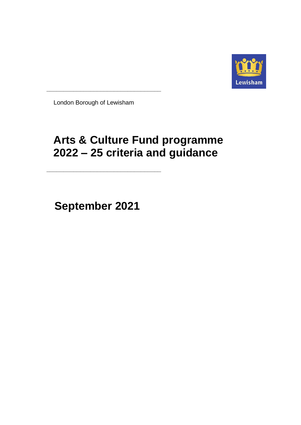

London Borough of Lewisham

**\_\_\_\_\_\_\_\_\_\_\_\_\_\_\_\_\_\_\_\_\_\_\_\_\_\_\_\_\_\_\_\_\_\_**

# **Arts & Culture Fund programme 2022 – 25 criteria and guidance**

**September 2021**

**\_\_\_\_\_\_\_\_\_\_\_\_\_\_\_\_\_\_\_\_\_\_\_\_\_\_\_\_\_\_\_\_\_\_**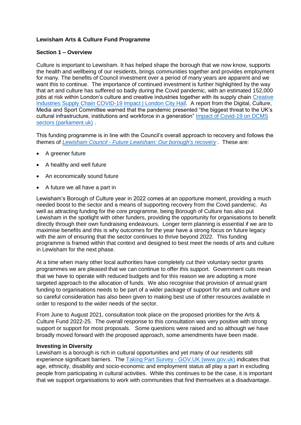# **Lewisham Arts & Culture Fund Programme**

#### **Section 1 – Overview**

Culture is important to Lewisham. It has helped shape the borough that we now know, supports the health and wellbeing of our residents, brings communities together and provides employment for many. The benefits of Council investment over a period of many years are apparent and we want this to continue. The importance of continued investment is further highlighted by the way that art and culture has suffered so badly during the Covid pandemic, with an estimated 152,000 jobs at risk within London's culture and creative industries together with its supply chain Creative [Industries Supply Chain COVID-19 Impact | London City Hall.](https://www.london.gov.uk/what-we-do/arts-and-culture/cultural-infrastructure-toolbox/creative-industries-supply-chain-covid-19-impact) A report from the Digital, Culture, Media and Sport Committee warned that the pandemic presented "the biggest threat to the UK's cultural infrastructure, institutions and workforce in a generation" [Impact of Covid-19 on DCMS](https://committees.parliament.uk/publications/2022/documents/19516/default/)  [sectors \(parliament.uk\)](https://committees.parliament.uk/publications/2022/documents/19516/default/) .

This funding programme is in line with the Council's overall approach to recovery and follows the themes of *Lewisham Council - [Future Lewisham: Our borough's recovery](https://lewisham.gov.uk/articles/news/future-lewisham-our-boroughs-recovery) .* These are:

- A greener future
- A healthy and well future
- An economically sound future
- A future we all have a part in

Lewisham's Borough of Culture year in 2022 comes at an opportune moment, providing a much needed boost to the sector and a means of supporting recovery from the Covid pandemic. As well as attracting funding for the core programme, being Borough of Culture has also put Lewisham in the spotlight with other funders, providing the opportunity for organisations to benefit directly through their own fundraising endeavours. Longer term planning is essential if we are to maximise benefits and this is why outcomes for the year have a strong focus on future legacy with the aim of ensuring that the sector continues to thrive beyond 2022. This funding programme is framed within that context and designed to best meet the needs of arts and culture in Lewisham for the next phase.

At a time when many other local authorities have completely cut their voluntary sector grants programmes we are pleased that we can continue to offer this support. Government cuts mean that we have to operate with reduced budgets and for this reason we are adopting a more targeted approach to the allocation of funds. We also recognise that provision of annual grant funding to organisations needs to be part of a wider package of support for arts and culture and so careful consideration has also been given to making best use of other resources available in order to respond to the wider needs of the sector.

From June to August 2021, consultation took place on the proposed priorities for the Arts & Culture Fund 2022-25. The overall response to this consultation was very positive with strong support or support for most proposals. Some questions were raised and so although we have broadly moved forward with the proposed approach, some amendments have been made.

#### **Investing in Diversity**

Lewisham is a borough is rich in cultural opportunities and yet many of our residents still experience significant barriers. The Taking Part Survey - [GOV.UK \(www.gov.uk\)](https://www.gov.uk/guidance/taking-part-survey) indicates that age, ethnicity, disability and socio-economic and employment status all play a part in excluding people from participating in cultural activities. While this continues to be the case, it is important that we support organisations to work with communities that find themselves at a disadvantage.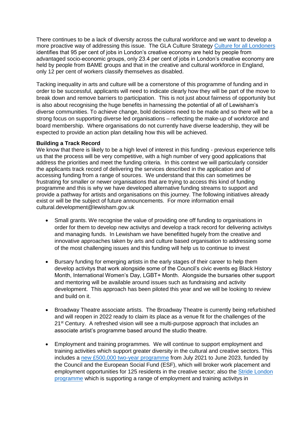There continues to be a lack of diversity across the cultural workforce and we want to develop a more proactive way of addressing this issue. The GLA Culture Strategy [Culture for all Londoners](https://www.london.gov.uk/sites/default/files/2018_culture_strategy_final_2021_0.pdf) identifies that 95 per cent of jobs in London's creative economy are held by people from advantaged socio-economic groups, only 23.4 per cent of jobs in London's creative economy are held by people from BAME groups and that in the creative and cultural workforce in England, only 12 per cent of workers classify themselves as disabled.

Tacking inequality in arts and culture will be a cornerstone of this programme of funding and in order to be successful, applicants will need to indicate clearly how they will be part of the move to break down and remove barriers to participation. This is not just about fairness of opportunity but is also about recognising the huge benefits in harnessing the potential of all of Lewisham's diverse communities. To achieve change, bold decisions need to be made and so there will be a strong focus on supporting diverse led organisations – reflecting the make-up of workforce and board membership. Where organisations do not currently have diverse leadership, they will be expected to provide an action plan detailing how this will be achieved.

#### **Building a Track Record**

We know that there is likely to be a high level of interest in this funding - previous experience tells us that the process will be very competitive, with a high number of very good applications that address the priorities and meet the funding criteria. In this context we will particularly consider the applicants track record of delivering the services described in the application and of accessing funding from a range of sources. We understand that this can sometimes be frustrating for smaller or newer organisations that are trying to access this kind of funding programme and this is why we have developed alternative funding streams to support and provide a pathway for artists and organisations on this journey. The following initiatives already exist or will be the subject of future announcements. For more information email cultural.development@lewisham.gov.uk

- Small grants. We recognise the value of providing one off funding to organisations in order for them to develop new activitys and develop a track record for delivering activitys and managing funds. In Lewisham we have benefitted hugely from the creative and innovative approaches taken by arts and culture based organisation to addressing some of the most challenging issues and this funding will help us to continue to invest
- Bursary funding for emerging artists in the early stages of their career to help them develop activitys that work alongside some of the Council's civic events eg Black History Month, International Women's Day, LGBT+ Month. Alongside the bursaries other support and mentoring will be available around issues such as fundraising and activity development. This approach has been piloted this year and we will be looking to review and build on it.
- Broadway Theatre associate artists. The Broadway Theatre is currently being refurbished and will reopen in 2022 ready to claim its place as a venue fit for the challenges of the 21<sup>st</sup> Century. A refreshed vision will see a multi-purpose approach that includes an associate artist's programme based around the studio theatre.
- Employment and training programmes. We will continue to support employment and training activities which support greater diversity in the cultural and creative sectors. This includes a [new £500,000 two-year programme](https://www.london.gov.uk/sites/default/files/2021_01_06_esf_project_requirements_cez_lewisham_final.pdf) from July 2021 to June 2023, funded by the Council and the European Social Fund (ESF), which will broker work placement and employment opportunities for 125 residents in the creative sector; also the Stride London [programme](https://stride.london/projects/?filter_by=develop-new-skills&orderby) which is supporting a range of employment and training activitys in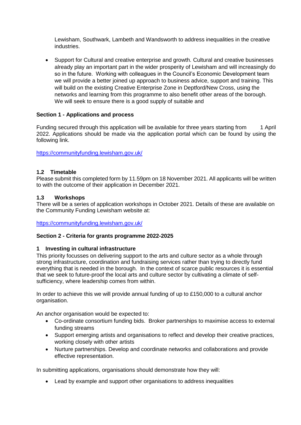Lewisham, Southwark, Lambeth and Wandsworth to address inequalities in the creative industries.

 Support for Cultural and creative enterprise and growth. Cultural and creative businesses already play an important part in the wider prosperity of Lewisham and will increasingly do so in the future. Working with colleagues in the Council's Economic Development team we will provide a better joined up approach to business advice, support and training. This will build on the existing Creative Enterprise Zone in Deptford/New Cross, using the networks and learning from this programme to also benefit other areas of the borough. We will seek to ensure there is a good supply of suitable and

## **Section 1 - Applications and process**

Funding secured through this application will be available for three years starting from 1 April 2022. Applications should be made via the application portal which can be found by using the following link.

<https://communityfunding.lewisham.gov.uk/>

## **1.2 Timetable**

Please submit this completed form by 11.59pm on 18 November 2021. All applicants will be written to with the outcome of their application in December 2021.

#### **1.3 Workshops**

There will be a series of application workshops in October 2021. Details of these are available on the Community Funding Lewisham website at:

<https://communityfunding.lewisham.gov.uk/>

#### **Section 2 - Criteria for grants programme 2022-2025**

#### **1 Investing in cultural infrastructure**

This priority focusses on delivering support to the arts and culture sector as a whole through strong infrastructure, coordination and fundraising services rather than trying to directly fund everything that is needed in the borough. In the context of scarce public resources it is essential that we seek to future-proof the local arts and culture sector by cultivating a climate of selfsufficiency, where leadership comes from within.

In order to achieve this we will provide annual funding of up to £150,000 to a cultural anchor organisation.

An anchor organisation would be expected to:

- Co-ordinate consortium funding bids. Broker partnerships to maximise access to external funding streams
- Support emerging artists and organisations to reflect and develop their creative practices, working closely with other artists
- Nurture partnerships. Develop and coordinate networks and collaborations and provide effective representation.

In submitting applications, organisations should demonstrate how they will:

Lead by example and support other organisations to address inequalities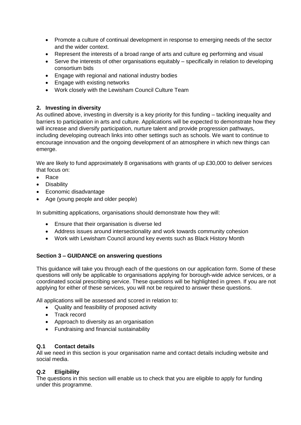- Promote a culture of continual development in response to emerging needs of the sector and the wider context.
- Represent the interests of a broad range of arts and culture eg performing and visual
- Serve the interests of other organisations equitably specifically in relation to developing consortium bids
- Engage with regional and national industry bodies
- Engage with existing networks
- Work closely with the Lewisham Council Culture Team

# **2. Investing in diversity**

As outlined above, investing in diversity is a key priority for this funding – tackling inequality and barriers to participation in arts and culture. Applications will be expected to demonstrate how they will increase and diversify participation, nurture talent and provide progression pathways, including developing outreach links into other settings such as schools. We want to continue to encourage innovation and the ongoing development of an atmosphere in which new things can emerge.

We are likely to fund approximately 8 organisations with grants of up £30,000 to deliver services that focus on:

- Race
- Disability
- Economic disadvantage
- Age (young people and older people)

In submitting applications, organisations should demonstrate how they will:

- Ensure that their organisation is diverse led
- Address issues around intersectionality and work towards community cohesion
- Work with Lewisham Council around key events such as Black History Month

# **Section 3 – GUIDANCE on answering questions**

This guidance will take you through each of the questions on our application form. Some of these questions will only be applicable to organisations applying for borough-wide advice services, or a coordinated social prescribing service. These questions will be highlighted in green. If you are not applying for either of these services, you will not be required to answer these questions.

All applications will be assessed and scored in relation to:

- Quality and feasibility of proposed activity
- Track record
- Approach to diversity as an organisation
- Fundraising and financial sustainability

# **Q.1 Contact details**

All we need in this section is your organisation name and contact details including website and social media.

#### **Q.2 Eligibility**

The questions in this section will enable us to check that you are eligible to apply for funding under this programme.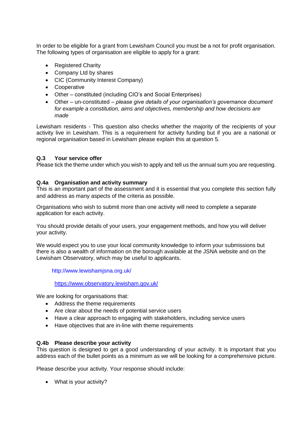In order to be eligible for a grant from Lewisham Council you must be a not for profit organisation. The following types of organisation are eligible to apply for a grant:

- Registered Charity
- Company Ltd by shares
- CIC (Community Interest Company)
- Cooperative
- Other constituted (including CIO's and Social Enterprises)
- Other un-constituted *please give details of your organisation's governance document for example a constitution, aims and objectives, membership and how decisions are made*

Lewisham residents - This question also checks whether the majority of the recipients of your activity live in Lewisham. This is a requirement for activity funding but if you are a national or regional organisation based in Lewisham please explain this at question 5.

#### **Q.3 Your service offer**

Please tick the theme under which you wish to apply and tell us the annual sum you are requesting.

#### **Q.4a Organisation and activity summary**

This is an important part of the assessment and it is essential that you complete this section fully and address as many aspects of the criteria as possible.

Organisations who wish to submit more than one activity will need to complete a separate application for each activity.

You should provide details of your users, your engagement methods, and how you will deliver your activity.

We would expect you to use your local community knowledge to inform your submissions but there is also a wealth of information on the borough available at the JSNA website and on the Lewisham Observatory, which may be useful to applicants.

http://www.lewishamjsna.org.uk/

<https://www.observatory.lewisham.gov.uk/>

We are looking for organisations that:

- Address the theme requirements
- Are clear about the needs of potential service users
- Have a clear approach to engaging with stakeholders, including service users
- Have objectives that are in-line with theme requirements

#### **Q.4b Please describe your activity**

This question is designed to get a good understanding of your activity. It is important that you address each of the bullet points as a minimum as we will be looking for a comprehensive picture.

Please describe your activity. Your response should include:

What is your activity?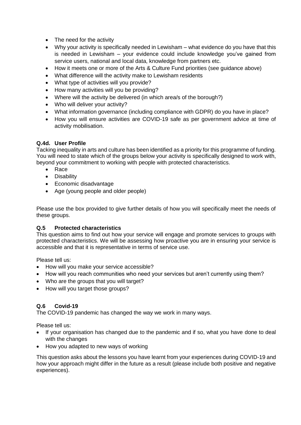- The need for the activity
- Why your activity is specifically needed in Lewisham what evidence do you have that this is needed in Lewisham – your evidence could include knowledge you've gained from service users, national and local data, knowledge from partners etc.
- How it meets one or more of the Arts & Culture Fund priorities (see guidance above)
- What difference will the activity make to Lewisham residents
- What type of activities will you provide?
- How many activities will you be providing?
- Where will the activity be delivered (in which area/s of the borough?)
- Who will deliver your activity?
- What information governance (including compliance with GDPR) do you have in place?
- How you will ensure activities are COVID-19 safe as per government advice at time of activity mobilisation.

#### **Q.4d. User Profile**

Tacking inequality in arts and culture has been identified as a priority for this programme of funding. You will need to state which of the groups below your activity is specifically designed to work with, beyond your commitment to working with people with protected characteristics.

- Race
- Disability
- Economic disadvantage
- Age (young people and older people)

Please use the box provided to give further details of how you will specifically meet the needs of these groups.

#### **Q.5 Protected characteristics**

This question aims to find out how your service will engage and promote services to groups with protected characteristics. We will be assessing how proactive you are in ensuring your service is accessible and that it is representative in terms of service use.

Please tell us:

- How will you make your service accessible?
- How will you reach communities who need your services but aren't currently using them?
- Who are the groups that you will target?
- How will you target those groups?

#### **Q.6 Covid-19**

The COVID-19 pandemic has changed the way we work in many ways.

Please tell us:

- If your organisation has changed due to the pandemic and if so, what you have done to deal with the changes
- How you adapted to new ways of working

This question asks about the lessons you have learnt from your experiences during COVID-19 and how your approach might differ in the future as a result (please include both positive and negative experiences).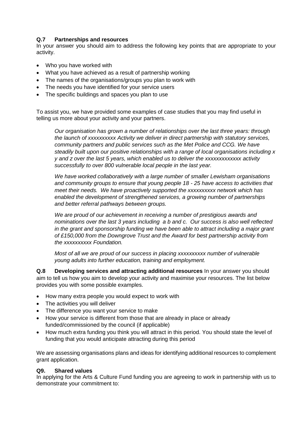# **Q.7 Partnerships and resources**

In your answer you should aim to address the following key points that are appropriate to your activity.

- Who you have worked with
- What you have achieved as a result of partnership working
- The names of the organisations/groups you plan to work with
- The needs you have identified for your service users
- The specific buildings and spaces you plan to use

To assist you, we have provided some examples of case studies that you may find useful in telling us more about your activity and your partners.

*Our organisation has grown a number of relationships over the last three years: through the launch of xxxxxxxxxx Activity we deliver in direct partnership with statutory services, community partners and public services such as the Met Police and CCG. We have steadily built upon our positive relationships with a range of local organisations including x y and z over the last 5 years, which enabled us to deliver the xxxxxxxxxxxxx activity successfully to over 800 vulnerable local people in the last year.* 

*We have worked collaboratively with a large number of smaller Lewisham organisations and community groups to ensure that young people 18 - 25 have access to activities that meet their needs. We have proactively supported the xxxxxxxxxx network which has enabled the development of strengthened services, a growing number of partnerships and better referral pathways between groups.*

*We are proud of our achievement in receiving a number of prestigious awards and nominations over the last 3 years including a b and c. Our success is also well reflected in the grant and sponsorship funding we have been able to attract including a major grant of £150,000 from the Downgrove Trust and the Award for best partnership activity from the xxxxxxxxxx Foundation.*

*Most of all we are proud of our success in placing xxxxxxxxxx number of vulnerable young adults into further education, training and employment.*

**Q.8 Developing services and attracting additional resources** In your answer you should aim to tell us how you aim to develop your activity and maximise your resources. The list below provides you with some possible examples.

- How many extra people you would expect to work with
- The activities you will deliver
- The difference you want your service to make
- How your service is different from those that are already in place or already funded/commissioned by the council (if applicable)
- How much extra funding you think you will attract in this period. You should state the level of funding that you would anticipate attracting during this period

We are assessing organisations plans and ideas for identifying additional resources to complement grant application.

#### **Q9. Shared values**

In applying for the Arts & Culture Fund funding you are agreeing to work in partnership with us to demonstrate your commitment to: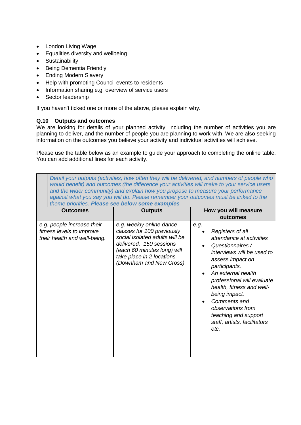- London Living Wage
- Equalities diversity and wellbeing
- **•** Sustainability
- Being Dementia Friendly
- Ending Modern Slavery
- Help with promoting Council events to residents
- Information sharing e.g overview of service users
- Sector leadership

If you haven't ticked one or more of the above, please explain why.

## **Q.10 Outputs and outcomes**

We are looking for details of your planned activity, including the number of activities you are planning to deliver, and the number of people you are planning to work with. We are also seeking information on the outcomes you believe your activity and individual activities will achieve.

Please use the table below as an example to guide your approach to completing the online table. You can add additional lines for each activity.

| Detail your outputs (activities, how often they will be delivered, and numbers of people who<br>would benefit) and outcomes (the difference your activities will make to your service users<br>and the wider community) and explain how you propose to measure your performance<br>against what you say you will do. Please remember your outcomes must be linked to the<br>theme priorities. Please see below some examples |                                                                                                                                                                                                             |                                                                                                                                                                                                                                                                                                                                                    |  |
|------------------------------------------------------------------------------------------------------------------------------------------------------------------------------------------------------------------------------------------------------------------------------------------------------------------------------------------------------------------------------------------------------------------------------|-------------------------------------------------------------------------------------------------------------------------------------------------------------------------------------------------------------|----------------------------------------------------------------------------------------------------------------------------------------------------------------------------------------------------------------------------------------------------------------------------------------------------------------------------------------------------|--|
| <b>Outcomes</b>                                                                                                                                                                                                                                                                                                                                                                                                              | <b>Outputs</b>                                                                                                                                                                                              | How you will measure<br>outcomes                                                                                                                                                                                                                                                                                                                   |  |
| e.g. people increase their<br>fitness levels to improve<br>their health and well-being.                                                                                                                                                                                                                                                                                                                                      | e.g. weekly online dance<br>classes for 100 previously<br>social isolated adults will be<br>delivered. 150 sessions<br>(each 60 minutes long) will<br>take place in 2 locations<br>(Downham and New Cross). | e.g.<br>Registers of all<br>attendance at activities<br>Questionnaires /<br>interviews will be used to<br>assess impact on<br>participants.<br>An external health<br>professional will evaluate<br>health, fitness and well-<br>being impact.<br>Comments and<br>observations from<br>teaching and support<br>staff, artists, facilitators<br>etc. |  |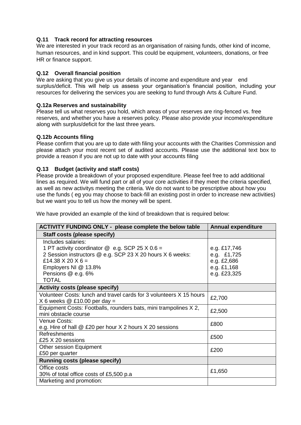## **Q.11 Track record for attracting resources**

We are interested in your track record as an organisation of raising funds, other kind of income, human resources, and in kind support. This could be equipment, volunteers, donations, or free HR or finance support.

### **Q.12 Overall financial position**

We are asking that you give us your details of income and expenditure and year end surplus/deficit. This will help us assess your organisation's financial position, including your resources for delivering the services you are seeking to fund through Arts & Culture Fund.

#### **Q.12a Reserves and sustainability**

Please tell us what reserves you hold, which areas of your reserves are ring-fenced vs. free reserves, and whether you have a reserves policy. Please also provide your income/expenditure along with surplus/deficit for the last three years.

#### **Q.12b Accounts filing**

Please confirm that you are up to date with filing your accounts with the Charities Commission and please attach your most recent set of audited accounts. Please use the additional text box to provide a reason if you are not up to date with your accounts filing

#### **Q.13 Budget (activity and staff costs)**

Please provide a breakdown of your proposed expenditure. Please feel free to add additional lines as required. We will fund part or all of your core activities if they meet the criteria specified, as well as new activitys meeting the criteria. We do not want to be prescriptive about how you use the funds ( eg you may choose to back-fill an existing post in order to increase new activities) but we want you to tell us how the money will be spent.

We have provided an example of the kind of breakdown that is required below:

| <b>ACTIVITY FUNDING ONLY - please complete the below table</b>      | <b>Annual expenditure</b> |
|---------------------------------------------------------------------|---------------------------|
| Staff costs (please specify)                                        |                           |
| Includes salaries:                                                  |                           |
| 1 PT activity coordinator $\mathcal Q$ e.g. SCP 25 X 0.6 =          | e.g. £17,746              |
| 2 Session instructors @ e.g. SCP 23 X 20 hours X 6 weeks:           | e.g. £1,725               |
| £14.38 $\times$ 20 $\times$ 6 =                                     | e.g. £2,686               |
| Employers NI @ 13.8%                                                | e.g. £1,168               |
| Pensions @ e.g. 6%<br><b>TOTAL</b>                                  | e.g. £23,325              |
| <b>Activity costs (please specify)</b>                              |                           |
| Volunteer Costs: lunch and travel cards for 3 volunteers X 15 hours | £2,700                    |
| $X$ 6 weeks $@$ £10.00 per day =                                    |                           |
| Equipment Costs: Footballs, rounders bats, mini trampolines X 2,    | £2,500                    |
| mini obstacle course                                                |                           |
| Venue Costs:                                                        | £800                      |
| e.g. Hire of hall @ £20 per hour X 2 hours X 20 sessions            |                           |
| Refreshments<br>£25 X 20 sessions                                   | £500                      |
| Other session Equipment                                             |                           |
| £50 per quarter                                                     | £200                      |
| <b>Running costs (please specify)</b>                               |                           |
| Office costs                                                        |                           |
| 30% of total office costs of £5,500 p.a                             | £1,650                    |
| Marketing and promotion:                                            |                           |